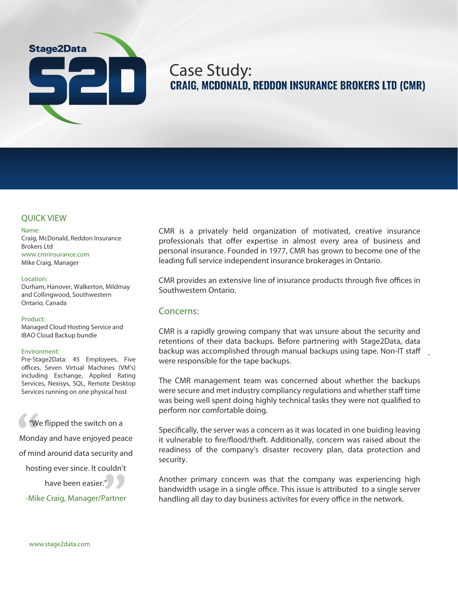# **Stage2Data**

# Case Study:<br>CRAIG, MCDONALD, REDDON INSURANCE BROKERS LTD (CMR)

# **QUICK VIEW**

#### Name:

Craig, McDonald, Reddon Insurance Brokers Ltd www.cmrinsurance.com Mike Craig, Manager

## Location:

Durham, Hanover, Walkerton, Mildmay and Collingwood, Southwestern Ontario, Canada

## Product:

Managed Cloud Hosting Service and IBAO Cloud Backup bundle

## Environment:

Pre-Stage2Data: 45 Employees, Five offices, Seven Virtual Machines (VM's) including Exchange, Applied Rating Services, Nexisys, SQL, Remote Desktop Services running on one physical host

**We**<br>**Monda**<br>of mine "We flipped the switch on a Monday and have enjoyed peace

of mind around data security and

wity and<br>widn't<br>**D** hosting ever since. It couldn't

have been easier."

**-Mike Craig, Manager/Partner**

CMR is a privately held organization of motivated, creative insurance professionals that offer expertise in almost every area of business and personal insurance. Founded in 1977, CMR has grown to become one of the leading full service independent insurance brokerages in Ontario.

CMR provides an extensive line of insurance products through five offices in Southwestern Ontario.

# Concerns:

CMR is a rapidly growing company that was unsure about the security and retentions of their data backups. Before partnering with Stage2Data, data backup was accomplished through manual backups using tape. Non-IT sta were responsible for the tape backups.

-

The CMR management team was concerned about whether the backups were secure and met industry compliancy regulations and whether staff time was being well spent doing highly technical tasks they were not qualified to perform nor comfortable doing.

Specifically, the server was a concern as it was located in one buiding leaving it vulnerable to fire/flood/theft. Additionally, concern was raised about the readiness of the company's disaster recovery plan, data protection and security.

Another primary concern was that the company was experiencing high bandwidth usage in a single office. This issue is attributed to a single server handling all day to day business activites for every office in the network.